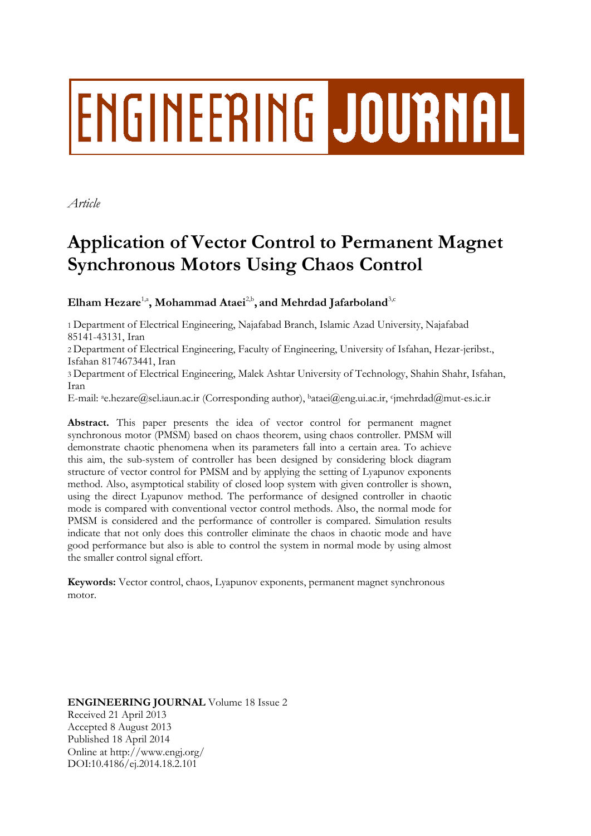# **ENGINEERING JOURNAL**

*Article*

# **Application of Vector Control to Permanent Magnet Synchronous Motors Using Chaos Control**

 $\mathbf{E}$ lham Hezare<sup>1,a</sup>, Mohammad Ataei<sup>2,b</sup>, and Mehrdad Jafarboland<sup>3,c</sup>

1 Department of Electrical Engineering, Najafabad Branch, Islamic Azad University, Najafabad 85141-43131, Iran

2 Department of Electrical Engineering, Faculty of Engineering, University of Isfahan, Hezar-jeribst., Isfahan 8174673441, Iran

3 Department of Electrical Engineering, Malek Ashtar University of Technology, Shahin Shahr, Isfahan, Iran

E-mail: ªe.hezare@sel.iaun.ac.ir (Corresponding author), bataei@eng.ui.ac.ir, <sup>c</sup>jmehrdad@mut-es.ic.ir

**Abstract.** This paper presents the idea of vector control for permanent magnet synchronous motor (PMSM) based on chaos theorem, using chaos controller. PMSM will demonstrate chaotic phenomena when its parameters fall into a certain area. To achieve this aim, the sub-system of controller has been designed by considering block diagram structure of vector control for PMSM and by applying the setting of Lyapunov exponents method. Also, asymptotical stability of closed loop system with given controller is shown, using the direct Lyapunov method. The performance of designed controller in chaotic mode is compared with conventional vector control methods. Also, the normal mode for PMSM is considered and the performance of controller is compared. Simulation results indicate that not only does this controller eliminate the chaos in chaotic mode and have good performance but also is able to control the system in normal mode by using almost the smaller control signal effort.

**Keywords:** Vector control, chaos, Lyapunov exponents, permanent magnet synchronous motor.

**ENGINEERING JOURNAL** Volume 18 Issue 2 Received 21 April 2013 Accepted 8 August 2013 Published 18 April 2014 Online at http://www.engj.org/ DOI:10.4186/ej.2014.18.2.101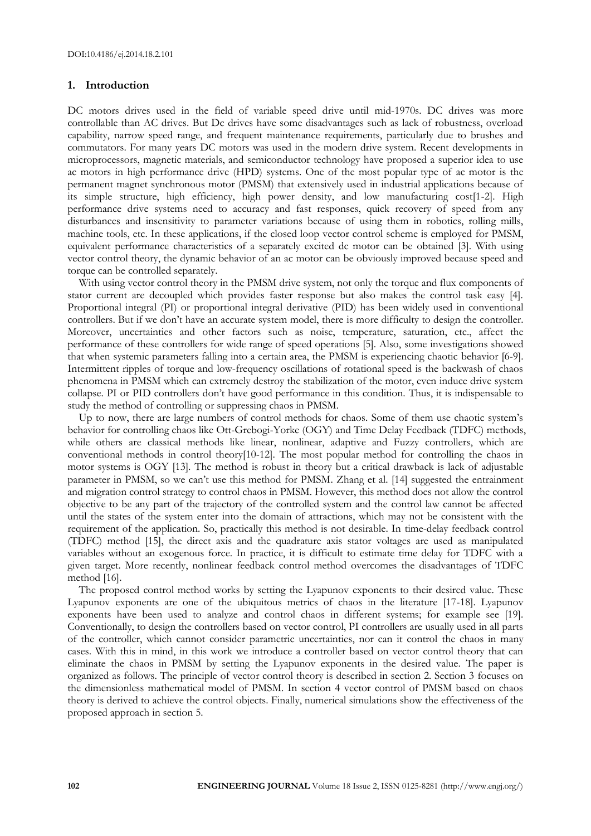## **1. Introduction**

DC motors drives used in the field of variable speed drive until mid-1970s. DC drives was more controllable than AC drives. But Dc drives have some disadvantages such as lack of robustness, overload capability, narrow speed range, and frequent maintenance requirements, particularly due to brushes and commutators. For many years DC motors was used in the modern drive system. Recent developments in microprocessors, magnetic materials, and semiconductor technology have proposed a superior idea to use ac motors in high performance drive (HPD) systems. One of the most popular type of ac motor is the permanent magnet synchronous motor (PMSM) that extensively used in industrial applications because of its simple structure, high efficiency, high power density, and low manufacturing cost[1-2]. High performance drive systems need to accuracy and fast responses, quick recovery of speed from any disturbances and insensitivity to parameter variations because of using them in robotics, rolling mills, machine tools, etc. In these applications, if the closed loop vector control scheme is employed for PMSM, equivalent performance characteristics of a separately excited dc motor can be obtained [3]. With using vector control theory, the dynamic behavior of an ac motor can be obviously improved because speed and torque can be controlled separately.

With using vector control theory in the PMSM drive system, not only the torque and flux components of stator current are decoupled which provides faster response but also makes the control task easy [4]. Proportional integral (PI) or proportional integral derivative (PID) has been widely used in conventional controllers. But if we don't have an accurate system model, there is more difficulty to design the controller. Moreover, uncertainties and other factors such as noise, temperature, saturation, etc., affect the performance of these controllers for wide range of speed operations [5]. Also, some investigations showed that when systemic parameters falling into a certain area, the PMSM is experiencing chaotic behavior [6-9]. Intermittent ripples of torque and low-frequency oscillations of rotational speed is the backwash of chaos phenomena in PMSM which can extremely destroy the stabilization of the motor, even induce drive system collapse. PI or PID controllers don't have good performance in this condition. Thus, it is indispensable to study the method of controlling or suppressing chaos in PMSM.

Up to now, there are large numbers of control methods for chaos. Some of them use chaotic system's behavior for controlling chaos like Ott-Grebogi-Yorke (OGY) and Time Delay Feedback (TDFC) methods, while others are classical methods like linear, nonlinear, adaptive and Fuzzy controllers, which are conventional methods in control theory[10-12]. The most popular method for controlling the chaos in motor systems is OGY [13]. The method is robust in theory but a critical drawback is lack of adjustable parameter in PMSM, so we can't use this method for PMSM. Zhang et al. [14] suggested the entrainment and migration control strategy to control chaos in PMSM. However, this method does not allow the control objective to be any part of the trajectory of the controlled system and the control law cannot be affected until the states of the system enter into the domain of attractions, which may not be consistent with the requirement of the application. So, practically this method is not desirable. In time-delay feedback control (TDFC) method [15], the direct axis and the quadrature axis stator voltages are used as manipulated variables without an exogenous force. In practice, it is difficult to estimate time delay for TDFC with a given target. More recently, nonlinear feedback control method overcomes the disadvantages of TDFC method [16].

The proposed control method works by setting the Lyapunov exponents to their desired value. These Lyapunov exponents are one of the ubiquitous metrics of chaos in the literature [17-18]. Lyapunov exponents have been used to analyze and control chaos in different systems; for example see [19]. Conventionally, to design the controllers based on vector control, PI controllers are usually used in all parts of the controller, which cannot consider parametric uncertainties, nor can it control the chaos in many cases. With this in mind, in this work we introduce a controller based on vector control theory that can eliminate the chaos in PMSM by setting the Lyapunov exponents in the desired value. The paper is organized as follows. The principle of vector control theory is described in section 2. Section 3 focuses on the dimensionless mathematical model of PMSM. In section 4 vector control of PMSM based on chaos theory is derived to achieve the control objects. Finally, numerical simulations show the effectiveness of the proposed approach in section 5.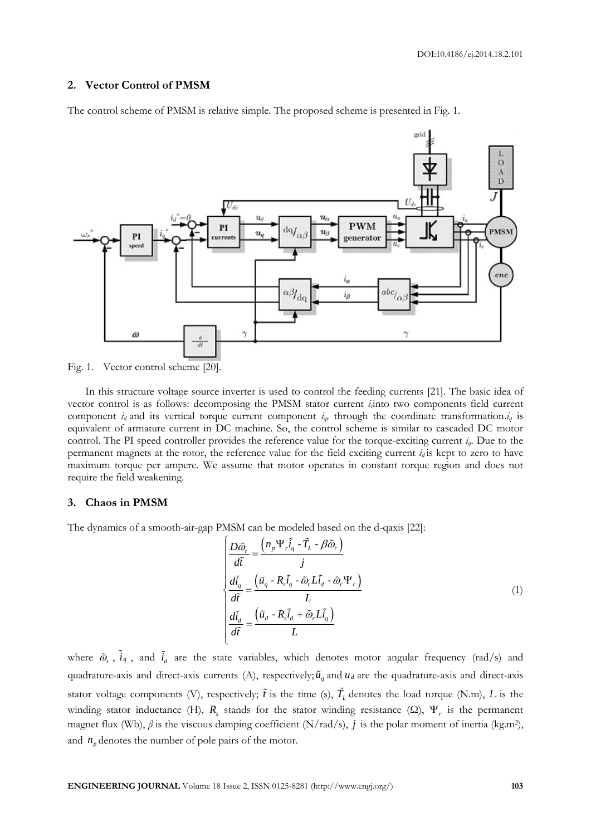### **2. Vector Control of PMSM**

The control scheme of PMSM is relative simple. The proposed scheme is presented in Fig. 1.



Fig. 1. Vector control scheme [20].

In this structure voltage source inverter is used to control the feeding currents [21]. The basic idea of vector control is as follows: decomposing the PMSM stator current *is*into two components field current component *i<sub>d</sub>* and its vertical torque current component  $i_q$ , through the coordinate transformation. $i_q$  is equivalent of armature current in DC machine. So, the control scheme is similar to cascaded DC motor control. The PI speed controller provides the reference value for the torque-exciting current *iq*. Due to the permanent magnets at the rotor, the reference value for the field exciting current  $i_d$  is kept to zero to have maximum torque per ampere. We assume that motor operates in constant torque region and does not require the field weakening.

## **3. Chaos in PMSM**

The dynamics of a smooth-air-gap PMSM can be modeled based on the d-qaxis [22]:<br>  $\begin{pmatrix} D\tilde{\omega}_r & \left(n_p\Psi_r\tilde{i}_q - \tilde{T}_L - \beta\tilde{\omega}_r\right) \end{pmatrix}$ 

$$
\begin{cases}\n\frac{D\tilde{\omega}_r}{d\tilde{t}} = \frac{\left(n_p \Psi_r \tilde{i}_q - \tilde{T}_L - \beta \tilde{\omega}_r\right)}{\tilde{t}} \\
\frac{d\tilde{i}_q}{d\tilde{t}} = \frac{\left(\tilde{u}_q - R_s \tilde{i}_q - \tilde{\omega}_r L \tilde{i}_d - \tilde{\omega}_r \Psi_r\right)}{L} \\
\frac{d\tilde{i}_d}{d\tilde{t}} = \frac{\left(\tilde{u}_d - R_s \tilde{i}_d + \tilde{\omega}_r L \tilde{i}_q\right)}{L}\n\end{cases} \tag{1}
$$

where  $\tilde{\omega}_r$ ,  $i_q$ , and  $i_d$  are the state variables, which denotes motor angular frequency (rad/s) and quadrature-axis and direct-axis currents (A), respectively;  $\tilde{u}_q$  and  $u_d$  are the quadrature-axis and direct-axis stator voltage components (V), respectively;  $\tilde{t}$  is the time (s),  $T_L$  denotes the load torque (N.m),  $L$  is the winding stator inductance (H),  $R_s$  stands for the stator winding resistance ( $\Omega$ ),  $\Psi_r$  is the permanent magnet flux (Wb),  $\beta$  is the viscous damping coefficient (N/rad/s),  $j$  is the polar moment of inertia (kg.m<sup>2</sup>), and  $n_p$  denotes the number of pole pairs of the motor.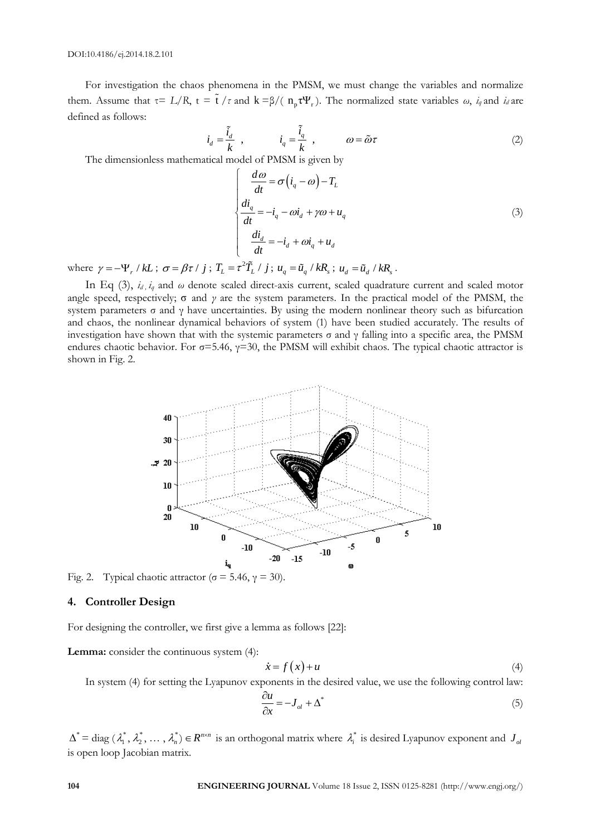For investigation the chaos phenomena in the PMSM, we must change the variables and normalize them. Assume that  $\tau = L/R$ ,  $t = t / \tau$  and  $k = \beta/(n_p \tau \Psi_r)$ . The normalized state variables *ω*, *i<sub>q</sub>* and *i<sub>d</sub>* are defined as follows:

$$
\dot{i}_d = \frac{\tilde{i}_d}{k} , \qquad \dot{i}_q = \frac{\tilde{i}_q}{k} , \qquad \omega = \tilde{\omega}\tau
$$
 (2)

The dimensionless mathematical model of PMSM is given by

$$
\begin{cases}\n\frac{d\omega}{dt} = \sigma \left( i_q - \omega \right) - T_L \\
\frac{di_q}{dt} = -i_q - \omega i_d + \gamma \omega + u_q \\
\frac{di_d}{dt} = -i_d + \omega i_q + u_d\n\end{cases}
$$
\n(3)

where  $\gamma = -\Psi_r / kL$ ;  $\sigma = \beta \tau / j$ ;  $T_L = \tau^2 \tilde{T}_L / j$ ;  $u_q = \tilde{u}_q / kR_s$ ;  $u_d = \tilde{u}_d / kR_s$ .

In Eq (3),  $i_d$ ,  $i_q$  and  $\omega$  denote scaled direct-axis current, scaled quadrature current and scaled motor angle speed, respectively; σ and *γ* are the system parameters. In the practical model of the PMSM, the system parameters σ and γ have uncertainties. By using the modern nonlinear theory such as bifurcation and chaos, the nonlinear dynamical behaviors of system (1) have been studied accurately. The results of investigation have shown that with the systemic parameters σ and γ falling into a specific area, the PMSM endures chaotic behavior. For  $\sigma$ =5.46,  $\gamma$ =30, the PMSM will exhibit chaos. The typical chaotic attractor is shown in Fig. 2.

Fig. 2. Typical chaotic attractor ( $\sigma$  = 5.46,  $\gamma$  = 30).

### **4. Controller Design**

For designing the controller, we first give a lemma as follows [22]:

**Lemma:** consider the continuous system (4):

$$
\dot{x} = f(x) + u \tag{4}
$$

In system (4) for setting the Lyapunov exponents in the desired value, we use the following control law:

$$
\frac{\partial u}{\partial x} = -J_{ol} + \Delta^* \tag{5}
$$

 $\Delta^*$  = diag  $(\lambda_1^*, \lambda_2^*, \dots, \lambda_n^*)$   $\in R^{n \times n}$  is an orthogonal matrix where  $\lambda_i^*$  is desired Lyapunov exponent and  $J_{oi}$ is open loop Jacobian matrix.

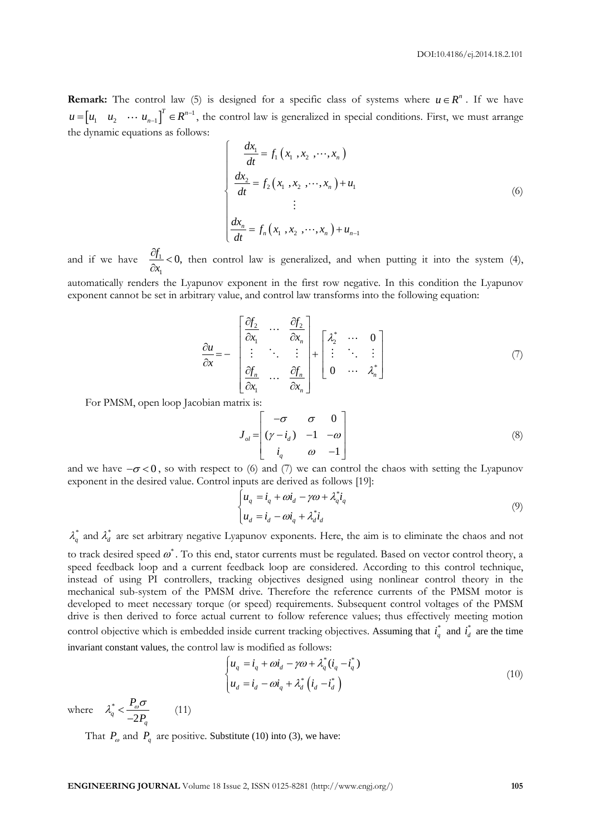**Remark:** The control law (5) is designed for a specific class of systems where  $u \in R^n$ . If we have  $u = \begin{bmatrix} u_1 & u_2 & \cdots & u_{n-1} \end{bmatrix}^T \in \mathbb{R}^{n-1}$ , the control law is generalized in special conditions. First, we must arrange the dynamic equations as follows:

$$
\begin{cases}\n\frac{dx_1}{dt} = f_1(x_1, x_2, \cdots, x_n) \\
\frac{dx_2}{dt} = f_2(x_1, x_2, \cdots, x_n) + u_1 \\
\vdots \\
\frac{dx_n}{dt} = f_n(x_1, x_2, \cdots, x_n) + u_{n-1}\n\end{cases}
$$
\n(6)

and if we have  $\frac{Q_1}{2}$ 1  $\frac{f_1}{f_2}$  < 0, *x*  $\frac{\partial f_1}{\partial x_1}$  $t_0$   $\frac{\partial f_1}{\partial x_1}$  < 0, then control law is generalized, and when putting it into the system (4), automatically renders the Lyapunov exponent in the first row negative. In this condition the Lyapunov exponent cannot be set in arbitrary value, and control law transforms into the following equation:

$$
\frac{\partial u}{\partial x} = -\begin{bmatrix}\n\frac{\partial f_2}{\partial x_1} & \cdots & \frac{\partial f_2}{\partial x_n} \\
\vdots & \ddots & \vdots \\
\frac{\partial f_n}{\partial x_1} & \cdots & \frac{\partial f_n}{\partial x_n}\n\end{bmatrix} + \begin{bmatrix}\n\lambda_2^* & \cdots & 0 \\
\vdots & \ddots & \vdots \\
0 & \cdots & \lambda_n^*\n\end{bmatrix}
$$
\n(7)

For PMSM, open loop Jacobian matrix is:

$$
J_{ol} = \begin{bmatrix} -\sigma & \sigma & 0 \\ (\gamma - i_d) & -1 & -\omega \\ i_q & \omega & -1 \end{bmatrix}
$$
 (8)

and we have  $-\sigma < 0$ , so with respect to (6) and (7) we can control the chaos with setting the Lyapunov exponent in the desired value. Control inputs are derived as follows [19]:

$$
\begin{cases}\n u_q = i_q + \omega i_d - \gamma \omega + \lambda_q^* i_q \\
 u_d = i_d - \omega i_q + \lambda_d^* i_d\n\end{cases}
$$
\n(9)

 $\lambda_q^*$  and  $\lambda_d^*$  are set arbitrary negative Lyapunov exponents. Here, the aim is to eliminate the chaos and not

to track desired speed  $\omega^*$  . To this end, stator currents must be regulated. Based on vector control theory, a speed feedback loop and a current feedback loop are considered. According to this control technique, instead of using PI controllers, tracking objectives designed using nonlinear control theory in the mechanical sub-system of the PMSM drive. Therefore the reference currents of the PMSM motor is developed to meet necessary torque (or speed) requirements. Subsequent control voltages of the PMSM drive is then derived to force actual current to follow reference values; thus effectively meeting motion control objective which is embedded inside current tracking objectives. Assuming that  $i_q^*$  and  $i_d^*$  are the time invariant constant values, the control law is modified as follows:

$$
\begin{cases}\n u_q = i_q + \omega i_d - \gamma \omega + \lambda_q^*(i_q - i_q^*) \\
 u_d = i_d - \omega i_q + \lambda_d^* (i_d - i_d^*)\n\end{cases}
$$
\n(10)

where  $\lambda_a^*$  $q - \frac{1}{2}$ *q P P*  $\lambda_a^* < \frac{P_o \sigma}{2}$  $\frac{1}{-2P_a}$  (11)

That  $P_{\alpha}$  and  $P_{q}$  are positive. Substitute (10) into (3), we have: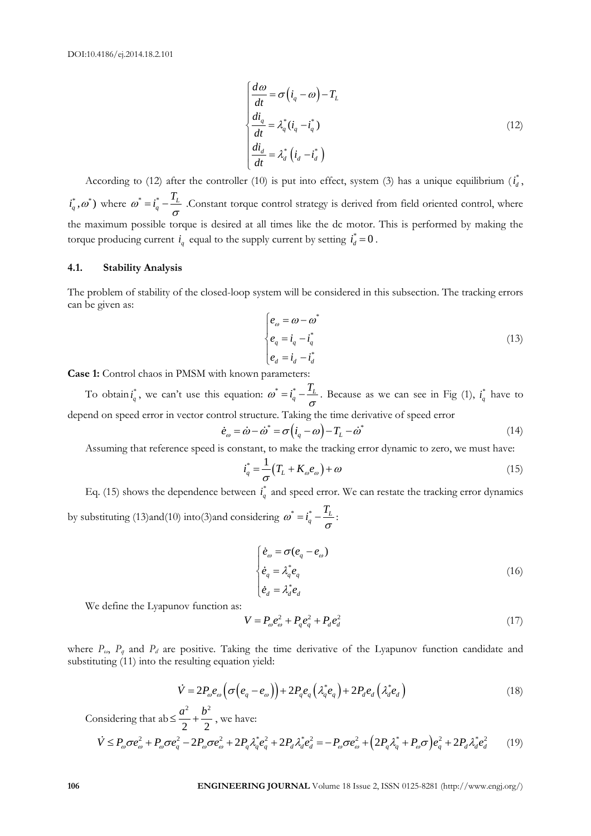$$
\begin{cases}\n\frac{d\omega}{dt} = \sigma \left( i_q - \omega \right) - T_L \\
\frac{di_q}{dt} = \lambda_q^* (i_q - i_q^*) \\
\frac{di_d}{dt} = \lambda_d^* \left( i_d - i_d^* \right)\n\end{cases}
$$
\n(12)

According to (12) after the controller (10) is put into effect, system (3) has a unique equilibrium  $(i_d^*$ ,  $i_q^*, \omega^*$ ) where  $\omega^* = i_q^* - \frac{I_L}{I}$  $\omega^* = i_q^* - \frac{T_L}{\sigma}$ . Constant torque control strategy is derived from field oriented control, where the maximum possible torque is desired at all times like the dc motor. This is performed by making the torque producing current  $i_q$  equal to the supply current by setting  $i_d^* = 0$ .

### **4.1. Stability Analysis**

The problem of stability of the closed-loop system will be considered in this subsection. The tracking errors can be given as:

$$
\begin{cases}\ne_{\omega} = \omega - \omega^* \\
e_q = i_q - i_q^* \\
e_d = i_d - i_d^*\n\end{cases} (13)
$$

**Case 1:** Control chaos in PMSM with known parameters:

To obtain  $i_q^*$ , we can't use this equation:  $\omega^* = i_q^* - \frac{I_L}{I_R}$  $\omega^* = i_q^* - \frac{T_L}{\sigma}$ . Because as we can see in Fig (1),  $i_q^*$  have to depend on speed error in vector control structure. Taking the time derivative of speed error

$$
\dot{e}_\omega = \dot{\omega} - \dot{\omega}^* = \sigma \left( i_q - \omega \right) - T_L - \dot{\omega}^* \tag{14}
$$

Assuming that reference speed is constant, to make the tracking error dynamic to zero, we must have:

$$
i_q^* = \frac{1}{\sigma} \left( T_L + K_\omega e_\omega \right) + \omega \tag{15}
$$

Eq. (15) shows the dependence between  $i_q^*$  and speed error. We can restate the tracking error dynamics by substituting (13)and(10) into (3)and considering  $\omega^* = i_q^* - \frac{I_L}{I_R}$  $\omega^* = i_q^* - \frac{T_L}{\sigma}$ 

$$
\begin{cases}\n\dot{e}_\omega = \sigma(e_q - e_\omega) \\
\dot{e}_q = \lambda_q^* e_q \\
\dot{e}_d = \lambda_d^* e_d\n\end{cases}
$$
\n(16)

We define the Lyapunov function as:

$$
V = P_{\omega} e_{\omega}^2 + P_q e_q^2 + P_d e_d^2 \tag{17}
$$

where *Pω*, *P<sup>q</sup>* and *P<sup>d</sup>* are positive. Taking the time derivative of the Lyapunov function candidate and substituting (11) into the resulting equation yield:

$$
\dot{V} = 2P_{\omega}e_{\omega}\left(\sigma\left(e_{q}-e_{\omega}\right)\right) + 2P_{q}e_{q}\left(\lambda_{q}^{*}e_{q}\right) + 2P_{d}e_{d}\left(\lambda_{d}^{*}e_{d}\right)
$$
\n(18)

Considering that ab 2  $\mathbf{L}^2$ 2 2  $\leq \frac{a^2}{2} + \frac{b^2}{2}$ , we have:  $(2P_a\lambda_a^*+P_{\omega}\sigma)$  $\begin{align*}\n\text{disacting that } \nab \leq \frac{a^2}{2} + \frac{b^2}{2}, \text{ we have:} \\
\dot{V} \leq P_{\omega} \sigma e_{\omega}^2 + P_{\omega} \sigma e_q^2 - 2P_{\omega} \sigma e_{\omega}^2 + 2P_q \lambda_q^* e_q^2 + 2P_d \lambda_d^* e_d^2 = -P_{\omega} \sigma e_{\omega}^2 + (2P_q \lambda_q^* + P_{\omega} \sigma) e_q^2 + 2P_d \lambda_d^* e_d^2 \n\end{align*}$ (19)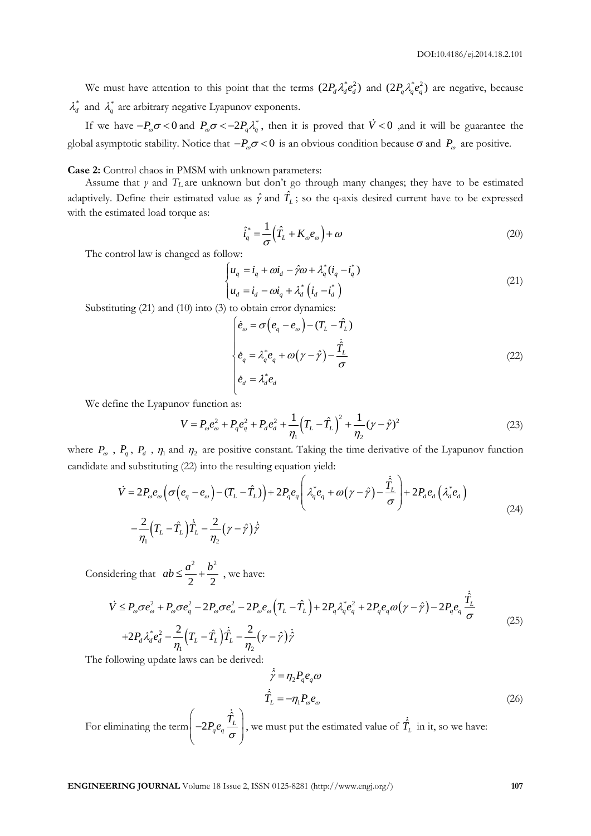We must have attention to this point that the terms  $(2P_d \lambda_d^* e_d^2)$  and  $(2P_q \lambda_q^* e_q^2)$  are negative, because  $\lambda_d^*$  and  $\lambda_q^*$  are arbitrary negative Lyapunov exponents.

If we have  $-P_{\omega}\sigma < 0$  and  $P_{\omega}\sigma < -2P_q\lambda_q^*$ , then it is proved that  $\dot{V} < 0$  , and it will be guarantee the global asymptotic stability. Notice that  $-P_{\omega}\sigma < 0$  is an obvious condition because  $\sigma$  and  $P_{\omega}$  are positive.

**Case 2:** Control chaos in PMSM with unknown parameters:

Assume that *γ* and *T<sup>L</sup>* are unknown but don't go through many changes; they have to be estimated adaptively. Define their estimated value as  $\hat{\gamma}$  and  $\hat{T}_L$ ; so the q-axis desired current have to be expressed with the estimated load torque as:

$$
\hat{i}_q^* = \frac{1}{\sigma} \left( \hat{T}_L + K_\omega e_\omega \right) + \omega \tag{20}
$$

The control law is changed as follow:

$$
\begin{cases}\n u_q = i_q + \omega i_d - \hat{\gamma}\omega + \lambda_q^*(i_q - i_q^*) \\
 u_d = i_d - \omega i_q + \lambda_d^*\left(i_d - i_d^*\right)\n\end{cases} (21)
$$

Substituting (21) and (10) into (3) to obtain error dynamics:

$$
\begin{cases}\n\dot{e}_\omega = \sigma \left( e_q - e_\omega \right) - (T_L - \hat{T}_L) \\
\dot{e}_q = \lambda_q^* e_q + \omega \left( \gamma - \hat{\gamma} \right) - \frac{\hat{T}_L}{\sigma} \\
\dot{e}_d = \lambda_d^* e_d\n\end{cases}
$$
\n(22)

We define the Lyapunov function as:

ov function as:  
\n
$$
V = P_{\omega}e_{\omega}^{2} + P_{q}e_{q}^{2} + P_{d}e_{d}^{2} + \frac{1}{\eta_{1}}(T_{L} - \hat{T}_{L})^{2} + \frac{1}{\eta_{2}}(\gamma - \hat{\gamma})^{2}
$$
\n(23)

where  $P_{\omega}$ ,  $P_q$ ,  $P_d$ ,  $\eta_1$  and  $\eta_2$  are positive constant. Taking the time derivative of the Lyapunov function candidate and substituting (22) into the resulting equation yield:<br>  $\dot{V} = 2P e \left( \sigma(e - e) - (T - \hat{T}) \right) +$ candidate and substituting (22) into the resulting equation yield:

$$
Y_q, Y_d, \eta_1 \text{ and } \eta_2 \text{ are positive constant.}
$$
  
and substituting (22) into the resulting equation yield:  

$$
\dot{V} = 2P_{\omega}e_{\omega} \left( \sigma \left( e_q - e_{\omega} \right) - \left( T_L - \hat{T}_L \right) \right) + 2P_qe_q \left( \lambda_q^*e_q + \omega \left( \gamma - \hat{\gamma} \right) - \frac{\hat{T}_L}{\sigma} \right) + 2P_de_d \left( \lambda_d^*e_d \right)
$$

$$
- \frac{2}{\eta_1} \left( T_L - \hat{T}_L \right) \dot{\hat{T}}_L - \frac{2}{\eta_2} \left( \gamma - \hat{\gamma} \right) \dot{\hat{Y}} \tag{24}
$$

Considering that 2  $\mathbf{L}^2$ 2 2  $ab \leq \frac{a^2}{2} + \frac{b^2}{2}$ , we have:

Adding that

\n
$$
ab \leq \frac{a^2}{2} + \frac{b^2}{2}, \text{ we have:}
$$
\n
$$
\dot{V} \leq P_{\omega}\sigma e_{\omega}^2 + P_{\omega}\sigma e_q^2 - 2P_{\omega}\sigma e_{\omega}^2 - 2P_{\omega}e_{\omega}\left(T_L - \hat{T}_L\right) + 2P_q\lambda_q^*e_q^2 + 2P_qe_q\omega\left(\gamma - \hat{\gamma}\right) - 2P_qe_q\frac{\hat{T}_L}{\sigma}
$$
\n
$$
+ 2P_d\lambda_d^*e_d^2 - \frac{2}{\eta_1}\left(T_L - \hat{T}_L\right)\hat{T}_L - \frac{2}{\eta_2}\left(\gamma - \hat{\gamma}\right)\hat{\gamma}
$$
\n(25)

The following update laws can be derived:

$$
\hat{\gamma} = \eta_2 P_q e_q \omega
$$
\n
$$
\dot{\hat{T}}_L = -\eta_1 P_\omega e_\omega \tag{26}
$$

For eliminating the term  $\hat{r}$  $2P_q e_q \frac{I_L}{I}$  $\bigg(-2P_q e_q \frac{\dot{\hat{T}}_L}{\sigma}\bigg],$  $\left(-2P_q e_q \frac{I_L}{\sigma}\right)$ , we must put the estimated value of  $\hat{T}_L$  in it, so we have: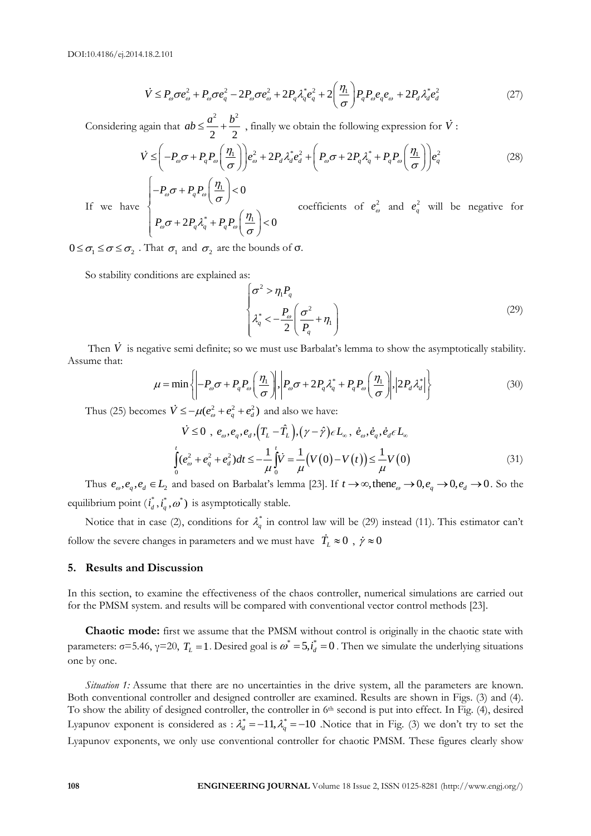18.2.101  
\n
$$
\dot{V} \le P_{\omega}\sigma e_{\omega}^{2} + P_{\omega}\sigma e_{q}^{2} - 2P_{\omega}\sigma e_{\omega}^{2} + 2P_{q}\lambda_{q}^{*}e_{q}^{2} + 2\left(\frac{\eta_{1}}{\sigma}\right)P_{q}P_{\omega}e_{q}e_{\omega} + 2P_{d}\lambda_{d}^{*}e_{d}^{2}
$$
\n(27)

Considering again that 2  $\mathbf{L}^2$ 2 2  $ab \leq \frac{a^2}{2} + \frac{b^2}{2}$ , finally we obtain the following expression for  $\dot{V}$ : again that  $ab \leq \frac{a^2}{2} + \frac{b^2}{2}$ , finally we obtain the following expression for  $\dot{V}$ :<br>  $\dot{V} \leq \left(-P_\omega \sigma + P_q P_\omega \left(\frac{\eta_1}{\sigma}\right)\right) e_\omega^2 + 2P_d \lambda_d^* e_d^2 + \left(P_\omega \sigma + 2P_q \lambda_q^* + P_q P_\omega \left(\frac{\eta_1}{\sigma}\right)\right) e_q^2$ 

again that 
$$
ab \leq \frac{a^2}{2} + \frac{b^2}{2}
$$
, finally we obtain the following expression for  $\dot{V}$ :  
\n
$$
\dot{V} \leq \left( -P_{\omega}\sigma + P_q P_{\omega} \left( \frac{\eta_1}{\sigma} \right) \right) e_{\omega}^2 + 2P_d \lambda_d^* e_d^2 + \left( P_{\omega}\sigma + 2P_q \lambda_q^* + P_q P_{\omega} \left( \frac{\eta_1}{\sigma} \right) \right) e_q^2
$$
\n(28)

If we have 1  $*$   $\mu$   $\mu$  |  $\eta$ 0  $2P_q\lambda_q^* + P_qP_\omega\left(\frac{\eta_1}{\tau}\right) < 0$ *q*  $P_q \lambda_q^* + P_q$  $P_{\omega}\sigma + P_{q}P_{q}$  $P_{\omega}\sigma + 2P_{q}\lambda_{q}^{*} + P_{q}P_{q}$  $P_{\omega}\sigma + P_{q}P_{\omega}$  $P_{\omega}\sigma + 2P_q\lambda_q^* + P_qP_{\omega}$  $\sigma$ +PP $\left|\frac{\eta}{\eta}\right|$ σ  $\sigma + 2P_q\lambda_q^* + P_qP_\omega\left(\frac{\eta_1}{\sigma}\right)$  $\left(-P_{\omega}\sigma+P_{q}P_{\omega}\left(\frac{\eta_{1}}{\sigma}\right)<0\right)$  $\left\{P_{\omega}\sigma+2P_q\lambda_q^*+P_qP_{\omega}\left(\frac{\eta_1}{\sigma}\right)<0\right\}$ coefficients of  $e_{\omega}^2$  and  $e_q^2$  will be negative for

 $0 \leq \sigma_1 \leq \sigma \leq \sigma_2$ . That  $\sigma_1$  and  $\sigma_2$  are the bounds of  $\sigma$ .

So stability conditions are explained as:

$$
\begin{cases}\n\sigma^2 > \eta_1 P_q \\
\lambda_q^* < -\frac{P_\omega}{2} \left( \frac{\sigma^2}{P_q} + \eta_1 \right)\n\end{cases} \tag{29}
$$

Then *V* is negative semi definite; so we must use Barbalat's lemma to show the asymptotically stability.<br>  $\mu = \min \left\{ \left| -P_{\omega}\sigma + P_q P_{\omega} \left( \frac{\eta_1}{\sigma} \right) \right|, \left| P_{\omega}\sigma + 2P_q \lambda_q^* + P_q P_{\omega} \left( \frac{\eta_1}{\sigma} \right) \right|, \left| 2P_d \lambda_d^* \right| \right\}$ Assume that:

$$
\mu = \min \left\{ \left| -P_{\omega}\sigma + P_{q}P_{\omega} \left( \frac{\eta_{1}}{\sigma} \right) \right|, \left| P_{\omega}\sigma + 2P_{q}\lambda_{q}^{*} + P_{q}P_{\omega} \left( \frac{\eta_{1}}{\sigma} \right) \right|, \left| 2P_{d}\lambda_{d}^{*} \right| \right\}
$$
(30)

Thus (25) becomes  $\dot{V} \le -\mu(e_{\omega}^2 + e_q^2 + e_d^2)$  and also we have:

$$
\dot{V} \leq 0 \, , \, e_{\omega}, e_q, e_d, \left(T_L - \hat{T}_L\right), \left(\gamma - \hat{\gamma}\right) \in L_{\infty}, \, \dot{e}_{\omega}, \dot{e}_q, \dot{e}_d \in L_{\infty}
$$
\n
$$
\int_0^t (e_{\omega}^2 + e_q^2 + e_d^2) dt \leq -\frac{1}{\mu} \int_0^t \dot{V} = \frac{1}{\mu} \left(V(0) - V(t)\right) \leq \frac{1}{\mu} V(0)
$$
\n
$$
(31)
$$

Thus  $e_{\omega}$ ,  $e_q$ ,  $e_d \in L_2$  and based on Barbalat's lemma [23]. If  $t \to \infty$ , then  $e_{\omega} \to 0$ ,  $e_q \to 0$ ,  $e_d \to 0$ . So the equilibrium point  $(i^*_{d}, i^*_{q}, \omega^*)$  is asymptotically stable.

Notice that in case (2), conditions for  $\lambda_q^*$  in control law will be (29) instead (11). This estimator can't follow the severe changes in parameters and we must have  $T_L \approx 0$ ,  $\dot{\gamma} \approx 0$ 

### **5. Results and Discussion**

In this section, to examine the effectiveness of the chaos controller, numerical simulations are carried out for the PMSM system. and results will be compared with conventional vector control methods [23].

**Chaotic mode:** first we assume that the PMSM without control is originally in the chaotic state with parameters: σ=5.46, γ=20,  $T_L$  =1. Desired goal is  $\omega^*$  =5, $i_d^*$  =0. Then we simulate the underlying situations one by one.

**10 E**  $\int_{0}^{1} P_{\text{eff}}P_{\text{eff}}^2 + P_{\text{eff}}^2P_{\text{eff}}^2 = 2P_{\text{eff}}\sigma_{\text{eff}}^2 + 2P_{\text{eff}}\sigma_{\text{eff}}^2 + 2P_{\text{eff}}\sigma_{\text{eff}}^2 + 2P_{\text{eff}}\sigma_{\text{eff}}^2$  (https://www.eng.org/resord for V is<br>  $\hat{V} \leq \left(-P_{\text{eff}}Q - P_{\text{eff}}P_{\text{eff}}\left(\frac{\alpha}{\beta}\right)\right$ *Situation 1:* Assume that there are no uncertainties in the drive system, all the parameters are known. Both conventional controller and designed controller are examined. Results are shown in Figs. (3) and (4). To show the ability of designed controller, the controller in 6<sup>th</sup> second is put into effect. In Fig. (4), desired Lyapunov exponent is considered as :  $\lambda_d^* = -11$ ,  $\lambda_q^* = -10$  . Notice that in Fig. (3) we don't try to set the Lyapunov exponents, we only use conventional controller for chaotic PMSM. These figures clearly show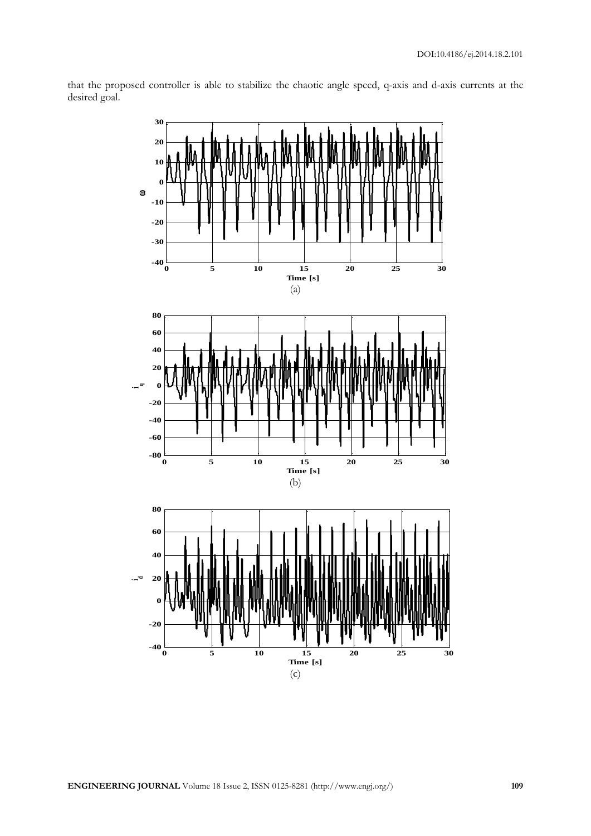

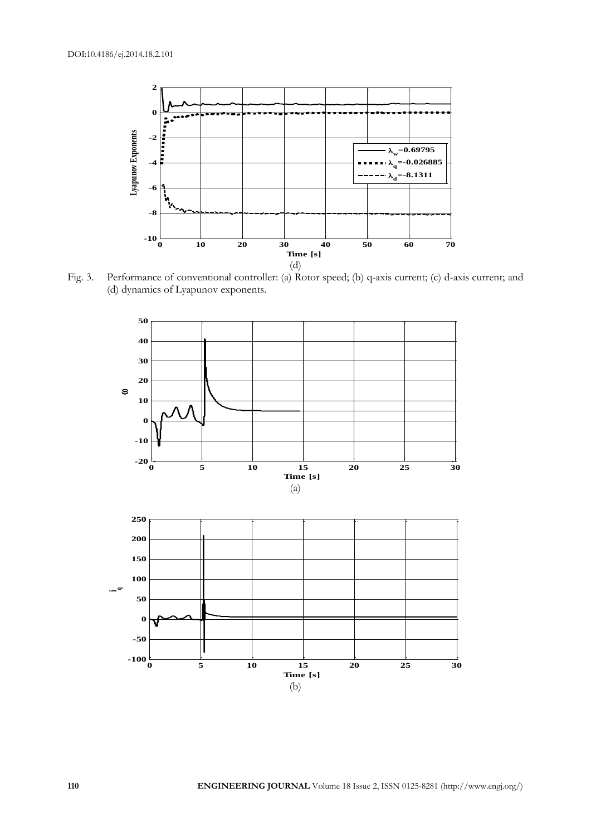

Fig. 3. Performance of conventional controller: (a) Rotor speed; (b) q-axis current; (c) d-axis current; and (d) dynamics of Lyapunov exponents.

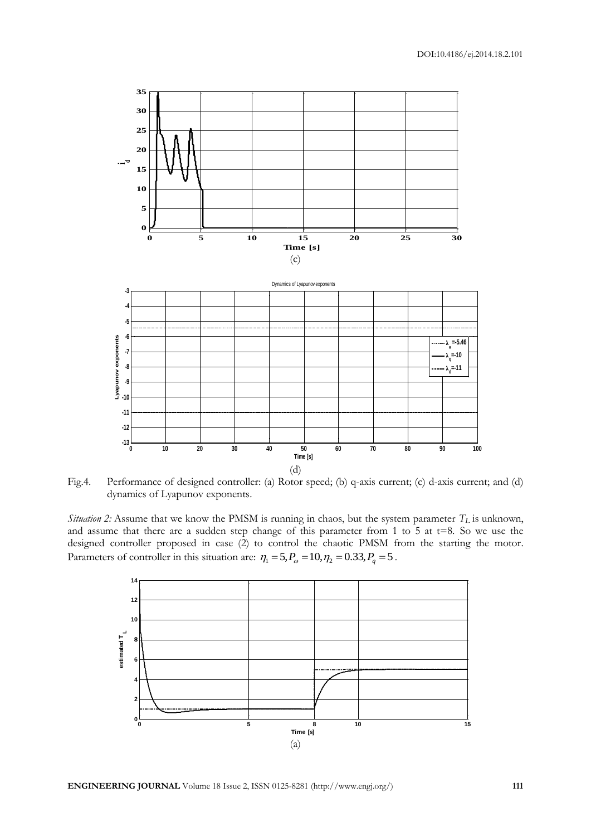

Fig.4. Performance of designed controller: (a) Rotor speed; (b) q-axis current; (c) d-axis current; and (d) dynamics of Lyapunov exponents.

*Situation 2:* Assume that we know the PMSM is running in chaos, but the system parameter *T<sup>L</sup>* is unknown, and assume that there are a sudden step change of this parameter from 1 to 5 at  $t=8$ . So we use the designed controller proposed in case (2) to control the chaotic PMSM from the starting the motor. designed controller proposed in case (2) to control the chaotic PMSM free Parameters of controller in this situation are:  $\eta_1 = 5$ ,  $P_\omega = 10$ ,  $\eta_2 = 0.33$ ,  $P_q = 5$ .

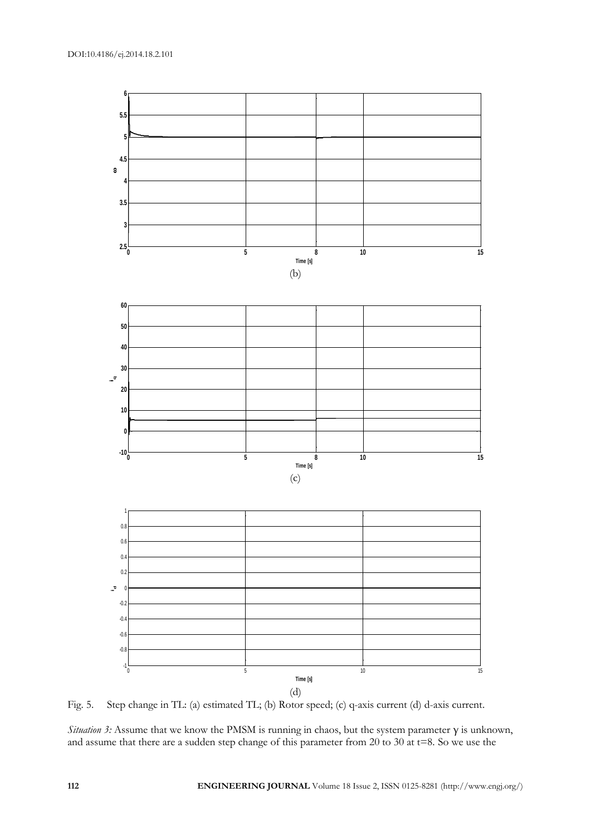

Fig. 5. Step change in TL: (a) estimated TL; (b) Rotor speed; (c) q-axis current (d) d-axis current.

*Situation 3:* Assume that we know the PMSM is running in chaos, but the system parameter γ is unknown, and assume that there are a sudden step change of this parameter from 20 to 30 at t=8. So we use the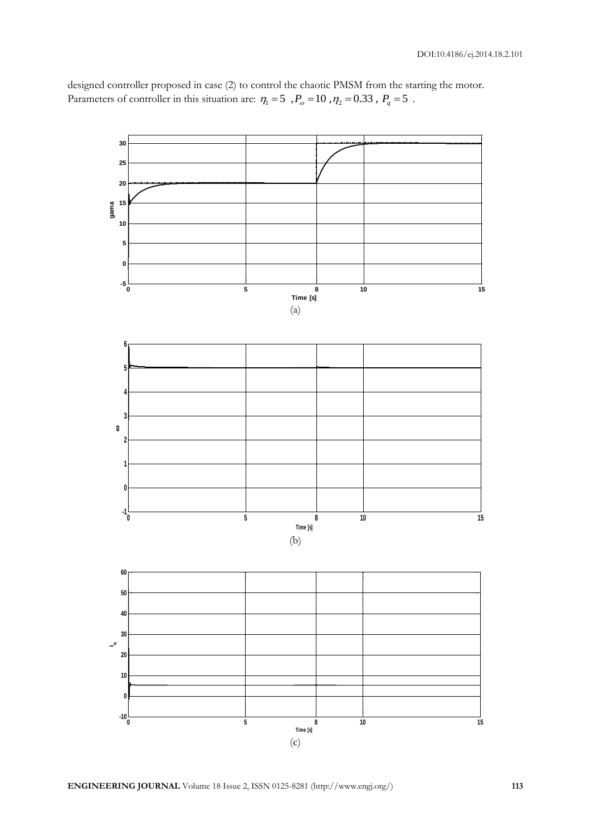designed controller proposed in case (2) to control the chaotic PMSM from the starting the motor. designed controller proposed in case (2) to control the chaotic PMSM from the star<br>Parameters of controller in this situation are:  $\eta_1 = 5$ ,  $P_\omega = 10$ ,  $\eta_2 = 0.33$ ,  $P_q = 5$ .

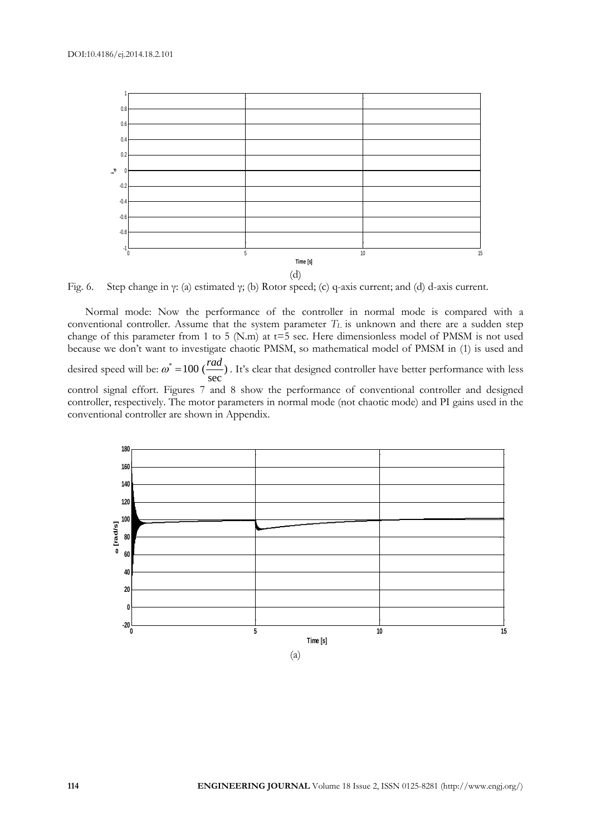

Fig. 6. Step change in γ: (a) estimated γ; (b) Rotor speed; (c) q-axis current; and (d) d-axis current.

Normal mode: Now the performance of the controller in normal mode is compared with a conventional controller. Assume that the system parameter *T<sup>L</sup>* is unknown and there are a sudden step change of this parameter from 1 to 5 (N.m) at  $t=5$  sec. Here dimensionless model of PMSM is not used because we don't want to investigate chaotic PMSM, so mathematical model of PMSM in (1) is used and desired speed will be:  $\omega^* = 100$  ( $\frac{4\pi}{100}$ ) sec  $\omega^*$  = 100 ( $\frac{rad}{ }$ ). It's clear that designed controller have better performance with less control signal effort. Figures 7 and 8 show the performance of conventional controller and designed controller, respectively. The motor parameters in normal mode (not chaotic mode) and PI gains used in the conventional controller are shown in Appendix.

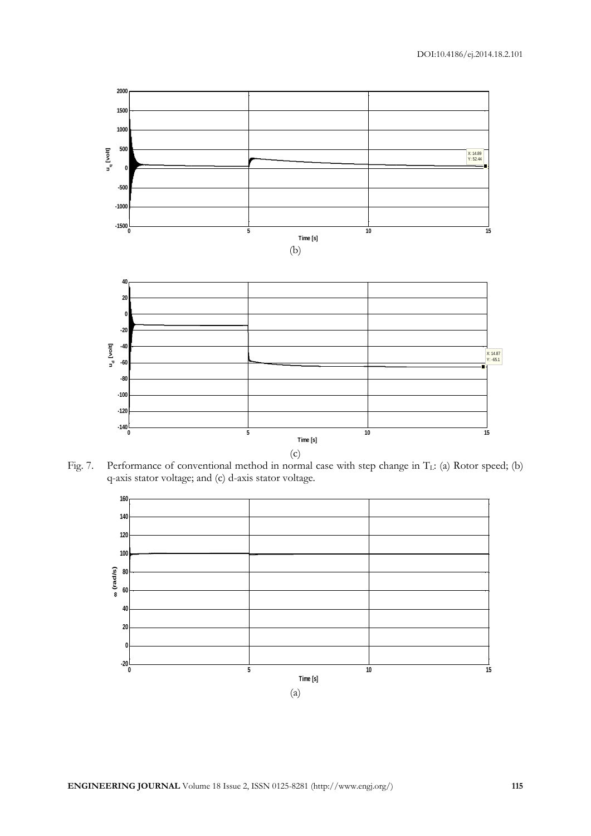

Fig. 7. Performance of conventional method in normal case with step change in T<sub>L</sub>: (a) Rotor speed; (b) q-axis stator voltage; and (c) d-axis stator voltage.

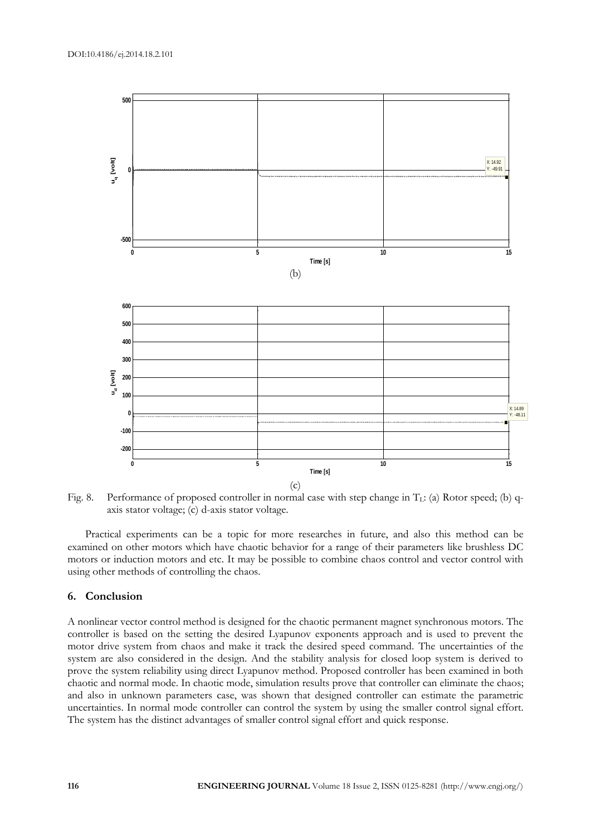

Fig. 8. Performance of proposed controller in normal case with step change in  $T_L$ : (a) Rotor speed; (b) qaxis stator voltage; (c) d-axis stator voltage.

Practical experiments can be a topic for more researches in future, and also this method can be examined on other motors which have chaotic behavior for a range of their parameters like brushless DC motors or induction motors and etc. It may be possible to combine chaos control and vector control with using other methods of controlling the chaos.

## **6. Conclusion**

A nonlinear vector control method is designed for the chaotic permanent magnet synchronous motors. The controller is based on the setting the desired Lyapunov exponents approach and is used to prevent the motor drive system from chaos and make it track the desired speed command. The uncertainties of the system are also considered in the design. And the stability analysis for closed loop system is derived to prove the system reliability using direct Lyapunov method. Proposed controller has been examined in both chaotic and normal mode. In chaotic mode, simulation results prove that controller can eliminate the chaos; and also in unknown parameters case, was shown that designed controller can estimate the parametric uncertainties. In normal mode controller can control the system by using the smaller control signal effort. The system has the distinct advantages of smaller control signal effort and quick response.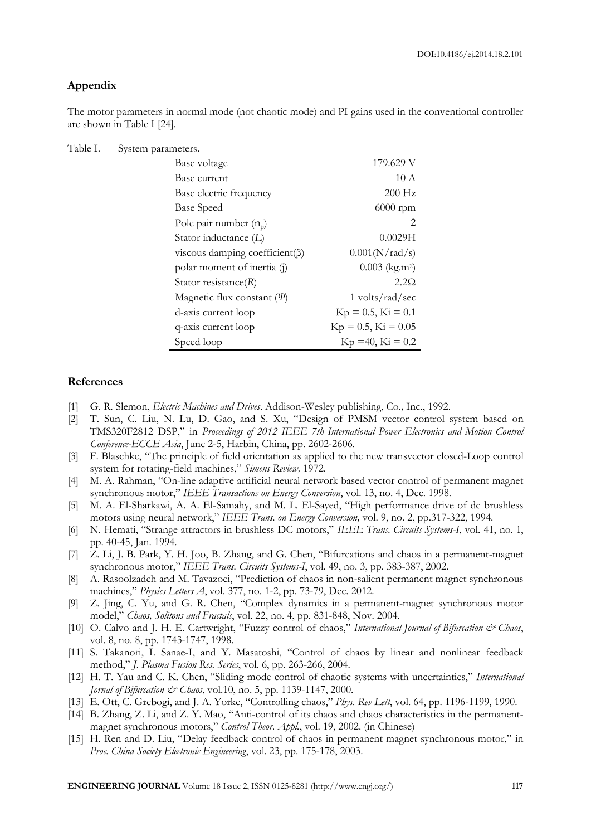# **Appendix**

The motor parameters in normal mode (not chaotic mode) and PI gains used in the conventional controller are shown in Table I [24].

| Table I. |  | System parameters. |
|----------|--|--------------------|
|----------|--|--------------------|

| Base voltage                           | 179.629 V                    |
|----------------------------------------|------------------------------|
| Base current                           | 10A                          |
| Base electric frequency                | $200$ Hz                     |
| <b>Base Speed</b>                      | $6000$ rpm                   |
| Pole pair number $(n_0)$               | 2                            |
| Stator inductance (L)                  | 0.0029H                      |
| viscous damping coefficient( $\beta$ ) | 0.001(N/rad/s)               |
| polar moment of inertia (j)            | $0.003$ (kg.m <sup>2</sup> ) |
| Stator resistance $(R)$                | $2.2\Omega$                  |
| Magnetic flux constant $(\Psi)$        | $1$ volts/rad/sec            |
| d-axis current loop                    | $Kp = 0.5, Ki = 0.1$         |
| q-axis current loop                    | $Kp = 0.5$ , $Ki = 0.05$     |
| Speed loop                             | $Kp = 40$ , $Ki = 0.2$       |

## **References**

- [1] G. R. Slemon, *Electric Machines and Drives*. Addison-Wesley publishing, Co*.,* Inc., 1992.
- [2] T. Sun, C. Liu, N. Lu, D. Gao, and S. Xu, "Design of PMSM vector control system based on TMS320F2812 DSP," in *Proceedings of 2012 IEEE 7th International Power Electronics and Motion Control Conference-ECCE Asia*, June 2-5, Harbin, China, pp. 2602-2606.
- [3] F. Blaschke, "The principle of field orientation as applied to the new transvector closed-Loop control system for rotating-field machines," *Simens Review,* 1972.
- [4] M. A. Rahman, "On-line adaptive artificial neural network based vector control of permanent magnet synchronous motor," *IEEE Transactions on Energy Conversion*, vol. 13, no. 4, Dec. 1998.
- [5] M. A. El-Sharkawi, A. A. El-Samahy, and M. L. El-Sayed, "High performance drive of dc brushless motors using neural network," *IEEE Trans. on Energy Conversion,* vol. 9, no. 2, pp.317-322, 1994.
- [6] N. Hemati, "Strange attractors in brushless DC motors," *IEEE Trans. Circuits Systems-I*, vol. 41, no. 1, pp. 40-45, Jan. 1994.
- [7] Z. Li, J. B. Park, Y. H. Joo, B. Zhang, and G. Chen, "Bifurcations and chaos in a permanent-magnet synchronous motor," *IEEE Trans. Circuits Systems-I*, vol. 49, no. 3, pp. 383-387, 2002.
- [8] A. Rasoolzadeh and M. Tavazoei, "Prediction of chaos in non-salient permanent magnet synchronous machines," *Physics Letters A*, vol. 377, no. 1-2, pp. 73-79, Dec. 2012.
- [9] Z. Jing, C. Yu, and G. R. Chen, "Complex dynamics in a permanent-magnet synchronous motor model," *Chaos, Solitons and Fractals*, vol. 22, no. 4, pp. 831-848, Nov. 2004.
- [10] O. Calvo and J. H. E. Cartwright, "Fuzzy control of chaos," *International Journal of Bifurcation & Chaos*, vol. 8, no. 8, pp. 1743-1747, 1998.
- [11] S. Takanori, I. Sanae-I, and Y. Masatoshi, "Control of chaos by linear and nonlinear feedback method," *J. Plasma Fusion Res. Series*, vol. 6, pp. 263-266, 2004.
- [12] H. T. Yau and C. K. Chen, "Sliding mode control of chaotic systems with uncertainties," *International Jornal of Bifurcation & Chaos*, vol.10, no. 5, pp. 1139-1147, 2000.
- [13] E. Ott, C. Grebogi, and J. A. Yorke, "Controlling chaos," *Phys. Rev Lett*, vol. 64, pp. 1196-1199, 1990.
- [14] B. Zhang, Z. Li, and Z. Y. Mao, "Anti-control of its chaos and chaos characteristics in the permanentmagnet synchronous motors," *Control Theor. Appl.*, vol. 19, 2002. (in Chinese)
- [15] H. Ren and D. Liu, "Delay feedback control of chaos in permanent magnet synchronous motor," in *Proc. China Society Electronic Engineering*, vol. 23, pp. 175-178, 2003.